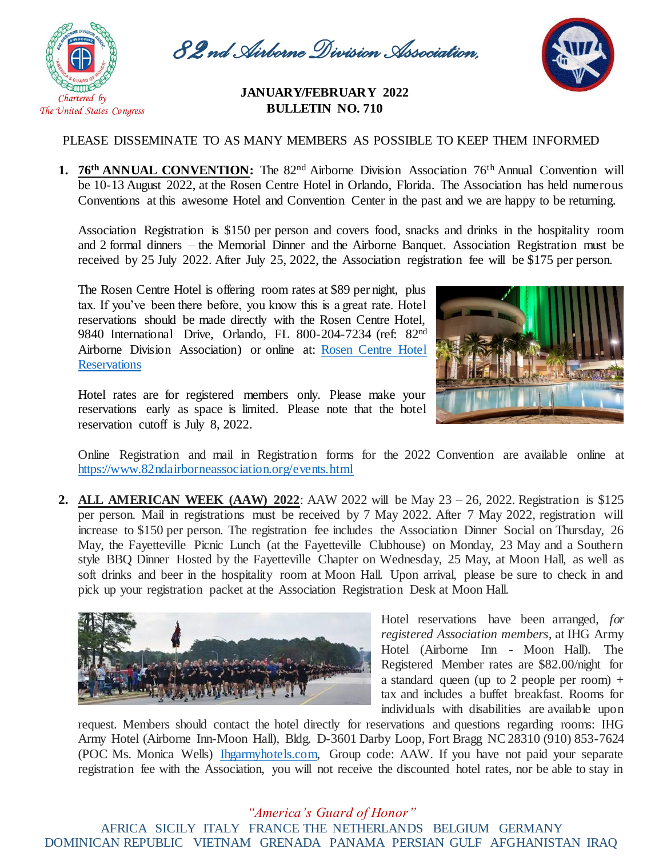

*82nd Airborne Division Association,* 

## *Inc* **JANUARY/FEBRUARY <sup>2022</sup> BULLETIN NO. 710**

## PLEASE DISSEMINATE TO AS MANY MEMBERS AS POSSIBLE TO KEEP THEM INFORMED

**1. 76<sup>th</sup> ANNUAL CONVENTION:** The 82<sup>nd</sup> Airborne Division Association 76<sup>th</sup> Annual Convention will be 10-13 August 2022, at the Rosen Centre Hotel in Orlando, Florida. The Association has held numerous Conventions at this awesome Hotel and Convention Center in the past and we are happy to be returning.

Association Registration is \$150 per person and covers food, snacks and drinks in the hospitality room and 2 formal dinners – the Memorial Dinner and the Airborne Banquet. Association Registration must be received by 25 July 2022. After July 25, 2022, the Association registration fee will be \$175 per person.

The Rosen Centre Hotel is offering room rates at \$89 per night, plus tax. If you've been there before, you know this is a great rate. Hotel reservations should be made directly with the Rosen Centre Hotel, 9840 International Drive, Orlando, FL 800-204-7234 (ref: 82nd Airborne Division Association) or online at: [Rosen Centre Hotel](file://///192.168.0.3/Public/07.%20Association%20Publications/National%20Bulletins/2021%20National%20Bulletin/12.%20Nov-Dec%202021%20National%20Bulletin/Rosen%20Centre%20Hotel%20Reservations)  **[Reservations](file://///192.168.0.3/Public/07.%20Association%20Publications/National%20Bulletins/2021%20National%20Bulletin/12.%20Nov-Dec%202021%20National%20Bulletin/Rosen%20Centre%20Hotel%20Reservations)** 

Hotel rates are for registered members only. Please make your reservations early as space is limited. Please note that the hotel reservation cutoff is July 8, 2022.



Online Registration and mail in Registration forms for the 2022 Convention are available online at https://www.82ndairborneassociation.org/events.html

**2. ALL AMERICAN WEEK (AAW) 2022**: AAW 2022 will be May 23 – 26, 2022. Registration is \$125 per person. Mail in registrations must be received by 7 May 2022. After 7 May 2022, registration will increase to \$150 per person. The registration fee includes the Association Dinner Social on Thursday, 26 May, the Fayetteville Picnic Lunch (at the Fayetteville Clubhouse) on Monday, 23 May and a Southern style BBQ Dinner Hosted by the Fayetteville Chapter on Wednesday, 25 May, at Moon Hall, as well as soft drinks and beer in the hospitality room at Moon Hall. Upon arrival, please be sure to check in and pick up your registration packet at the Association Registration Desk at Moon Hall.



Hotel reservations have been arranged, *for registered Association members*, at IHG Army Hotel (Airborne Inn - Moon Hall). The Registered Member rates are \$82.00/night for a standard queen (up to 2 people per room)  $+$ tax and includes a buffet breakfast. Rooms for individuals with disabilities are available upon

request. Members should contact the hotel directly for reservations and questions regarding rooms: IHG Army Hotel (Airborne Inn-Moon Hall), Bldg. D-3601 Darby Loop, Fort Bragg NC 28310 (910) 853-7624 (POC Ms. Monica Wells) [Ihgarmyhotels.com,](http://www.ihgarmyhotels.com/) Group code: AAW. If you have not paid your separate registration fee with the Association, you will not receive the discounted hotel rates, nor be able to stay in

## *"America's Guard of Honor"* AFRICA SICILY ITALY FRANCE THE NETHERLANDS BELGIUM GERMANY DOMINICAN REPUBLIC VIETNAM GRENADA PANAMA PERSIAN GULF AFGHANISTAN IRAQ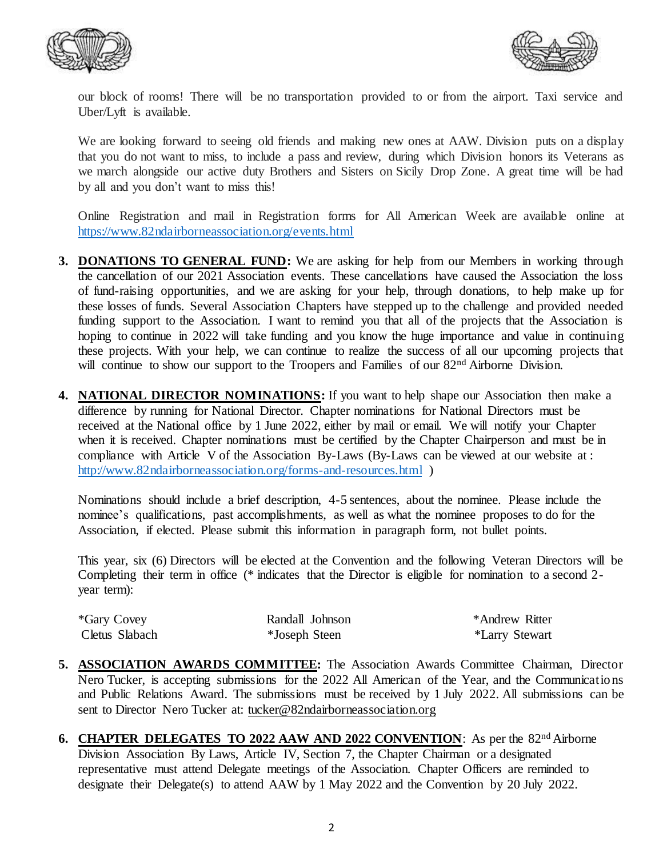



our block of rooms! There will be no transportation provided to or from the airport. Taxi service and Uber/Lyft is available.

We are looking forward to seeing old friends and making new ones at AAW. Division puts on a display that you do not want to miss, to include a pass and review, during which Division honors its Veterans as we march alongside our active duty Brothers and Sisters on Sicily Drop Zone. A great time will be had by all and you don't want to miss this!

Online Registration and mail in Registration forms for All American Week are available online at <https://www.82ndairborneassociation.org/events.html>

- **3. DONATIONS TO GENERAL FUND:** We are asking for help from our Members in working through the cancellation of our 2021 Association events. These cancellations have caused the Association the loss of fund-raising opportunities, and we are asking for your help, through donations, to help make up for these losses of funds. Several Association Chapters have stepped up to the challenge and provided needed funding support to the Association. I want to remind you that all of the projects that the Association is hoping to continue in 2022 will take funding and you know the huge importance and value in continuing these projects. With your help, we can continue to realize the success of all our upcoming projects that will continue to show our support to the Troopers and Families of our 82<sup>nd</sup> Airborne Division.
- **4. NATIONAL DIRECTOR NOMINATIONS:** If you want to help shape our Association then make a difference by running for National Director. Chapter nominations for National Directors must be received at the National office by 1 June 2022, either by mail or email. We will notify your Chapter when it is received. Chapter nominations must be certified by the Chapter Chairperson and must be in compliance with Article V of the Association By-Laws (By-Laws can be viewed at our website at : <http://www.82ndairborneassociation.org/forms-and-resources.html> )

Nominations should include a brief description, 4-5 sentences, about the nominee. Please include the nominee's qualifications, past accomplishments, as well as what the nominee proposes to do for the Association, if elected. Please submit this information in paragraph form, not bullet points.

This year, six (6) Directors will be elected at the Convention and the following Veteran Directors will be Completing their term in office (\* indicates that the Director is eligible for nomination to a second 2 year term):

| <i>*Gary Covey</i> | Randall Johnson | *Andrew Ritter |
|--------------------|-----------------|----------------|
| Cletus Slabach     | *Joseph Steen   | *Larry Stewart |

- **5. ASSOCIATION AWARDS COMMITTEE:** The Association Awards Committee Chairman, Director Nero Tucker, is accepting submissions for the 2022 All American of the Year, and the Communications and Public Relations Award. The submissions must be received by 1 July 2022. All submissions can be sent to Director Nero Tucker at: [tucker@82ndairborneassociation.org](mailto:tucker@82ndairborneassociation.org)
- **6. CHAPTER DELEGATES TO 2022 AAW AND 2022 CONVENTION:** As per the 82<sup>nd</sup> Airborne Division Association By Laws, Article IV, Section 7, the Chapter Chairman or a designated representative must attend Delegate meetings of the Association. Chapter Officers are reminded to designate their Delegate(s) to attend AAW by 1 May 2022 and the Convention by 20 July 2022.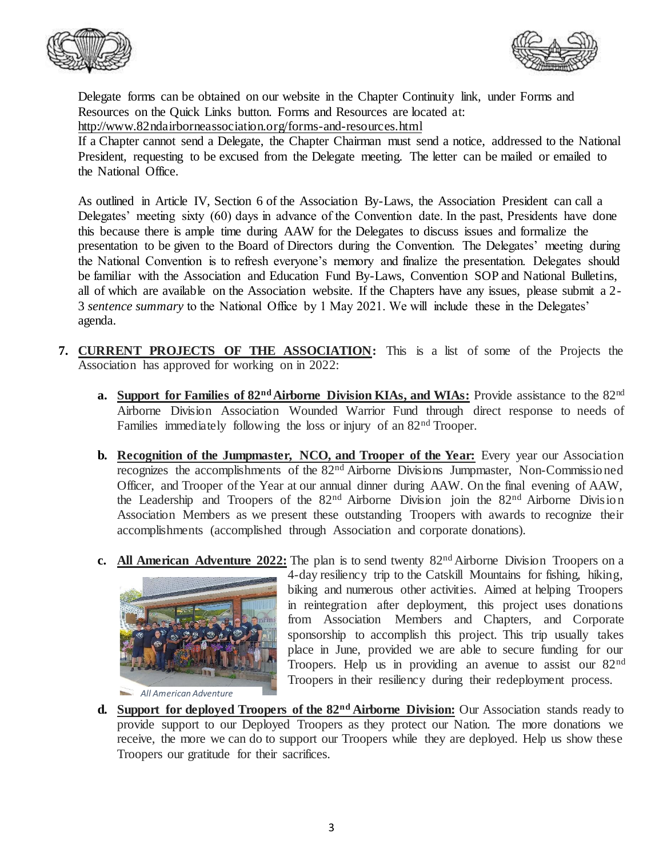



Delegate forms can be obtained on our website in the Chapter Continuity link, under Forms and Resources on the Quick Links button. Forms and Resources are located at:

<http://www.82ndairborneassociation.org/forms-and-resources.html>

If a Chapter cannot send a Delegate, the Chapter Chairman must send a notice, addressed to the National President, requesting to be excused from the Delegate meeting. The letter can be mailed or emailed to the National Office.

As outlined in Article IV, Section 6 of the Association By-Laws, the Association President can call a Delegates' meeting sixty (60) days in advance of the Convention date. In the past, Presidents have done this because there is ample time during AAW for the Delegates to discuss issues and formalize the presentation to be given to the Board of Directors during the Convention. The Delegates' meeting during the National Convention is to refresh everyone's memory and finalize the presentation. Delegates should be familiar with the Association and Education Fund By-Laws, Convention SOP and National Bulletins, all of which are available on the Association website. If the Chapters have any issues, please submit a 2- 3 *sentence summary* to the National Office by 1 May 2021. We will include these in the Delegates' agenda.

- **7. CURRENT PROJECTS OF THE ASSOCIATION:** This is a list of some of the Projects the Association has approved for working on in 2022:
	- **a. Support for Families of 82ndAirborne Division KIAs, and WIAs:** Provide assistance to the 82nd Airborne Division Association Wounded Warrior Fund through direct response to needs of Families immediately following the loss or injury of an 82<sup>nd</sup> Trooper.
	- **b.** Recognition of the Jumpmaster, NCO, and Trooper of the Year: Every year our Association recognizes the accomplishments of the 82nd Airborne Divisions Jumpmaster, Non-Commissioned Officer, and Trooper of the Year at our annual dinner during AAW. On the final evening of AAW, the Leadership and Troopers of the 82nd Airborne Division join the 82nd Airborne Division Association Members as we present these outstanding Troopers with awards to recognize their accomplishments (accomplished through Association and corporate donations).
	- **c. All American Adventure 2022:** The plan is to send twenty 82nd Airborne Division Troopers on a



 *All American Adventure*

4-day resiliency trip to the Catskill Mountains for fishing, hiking, biking and numerous other activities. Aimed at helping Troopers in reintegration after deployment, this project uses donations from Association Members and Chapters, and Corporate sponsorship to accomplish this project. This trip usually takes place in June, provided we are able to secure funding for our Troopers. Help us in providing an avenue to assist our 82nd Troopers in their resiliency during their redeployment process.

**d. Support for deployed Troopers of the 82nd Airborne Division:** Our Association stands ready to provide support to our Deployed Troopers as they protect our Nation. The more donations we receive, the more we can do to support our Troopers while they are deployed. Help us show these Troopers our gratitude for their sacrifices.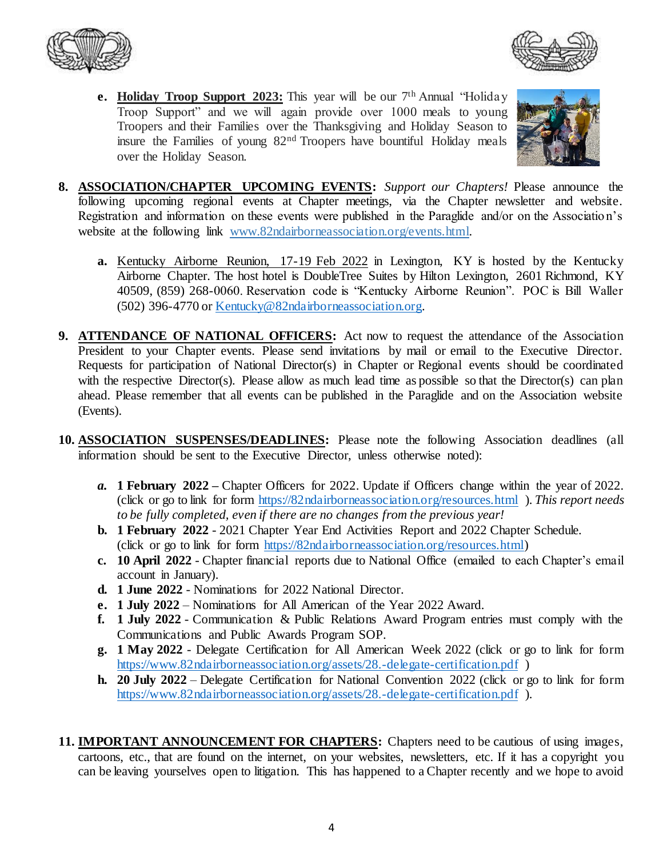



**e.** Holiday Troop Support 2023: This year will be our 7<sup>th</sup> Annual "Holiday" Troop Support" and we will again provide over 1000 meals to young Troopers and their Families over the Thanksgiving and Holiday Season to insure the Families of young 82nd Troopers have bountiful Holiday meals over the Holiday Season.



- **8. ASSOCIATION/CHAPTER UPCOMING EVENTS:** *Support our Chapters!* Please announce the following upcoming regional events at Chapter meetings, via the Chapter newsletter and website. Registration and information on these events were published in the Paraglide and/or on the Association's website at the following link www.82ndairborneassociation.org/events.html.
	- **a.** Kentucky Airborne Reunion, 17-19 Feb 2022 in Lexington, KY is hosted by the Kentucky Airborne Chapter. The host hotel is DoubleTree Suites by Hilton Lexington, 2601 Richmond, KY 40509, (859) 268-0060. Reservation code is "Kentucky Airborne Reunion". POC is Bill Waller (502) 396-4770 or [Kentucky@82ndairborneassociation.org.](mailto:Kentucky@82ndairborneassociation.org)
- **9. ATTENDANCE OF NATIONAL OFFICERS:** Act now to request the attendance of the Association President to your Chapter events. Please send invitations by mail or email to the Executive Director. Requests for participation of National Director(s) in Chapter or Regional events should be coordinated with the respective Director(s). Please allow as much lead time as possible so that the Director(s) can plan ahead. Please remember that all events can be published in the Paraglide and on the Association website (Events).
- **10. ASSOCIATION SUSPENSES/DEADLINES:** Please note the following Association deadlines (all information should be sent to the Executive Director, unless otherwise noted):
	- *a.* **1 February 2022 –** Chapter Officers for 2022. Update if Officers change within the year of 2022. (click or go to link for form <https://82ndairborneassociation.org/resources.html> ). *This report needs to be fully completed, even if there are no changes from the previous year!*
	- **b. 1 February 2022** 2021 Chapter Year End Activities Report and 2022 Chapter Schedule. (click or go to link for form [https://82ndairborneassociation.org/resources.html\)](https://82ndairborneassociation.org/resources.html)
	- **c. 10 April 2022** Chapter financial reports due to National Office (emailed to each Chapter's email account in January).
	- **d. 1 June 2022** Nominations for 2022 National Director.
	- **e. 1 July 2022** Nominations for All American of the Year 2022 Award.
	- **f. 1 July 2022** Communication & Public Relations Award Program entries must comply with the Communications and Public Awards Program SOP.
	- **g. 1 May 2022** Delegate Certification for All American Week 2022 (click or go to link for form <https://www.82ndairborneassociation.org/assets/28.-delegate-certification.pdf> )
	- **h. 20 July 2022** Delegate Certification for National Convention 2022 (click or go to link for form <https://www.82ndairborneassociation.org/assets/28.-delegate-certification.pdf> ).
- **11. IMPORTANT ANNOUNCEMENT FOR CHAPTERS:** Chapters need to be cautious of using images, cartoons, etc., that are found on the internet, on your websites, newsletters, etc. If it has a copyright you can be leaving yourselves open to litigation. This has happened to a Chapter recently and we hope to avoid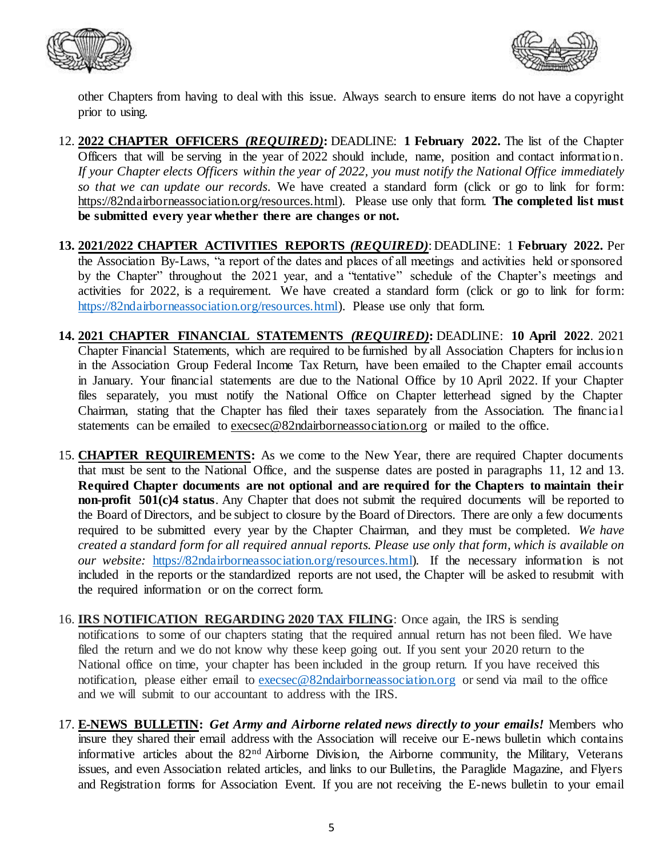



other Chapters from having to deal with this issue. Always search to ensure items do not have a copyright prior to using.

- 12. **2022 CHAPTER OFFICERS** *(REQUIRED)***:** DEADLINE: **1 February 2022.** The list of the Chapter Officers that will be serving in the year of 2022 should include, name, position and contact information. *If your Chapter elects Officers within the year of 2022, you must notify the National Office immediately so that we can update our records*. We have created a standard form (click or go to link for form: [https://82ndairborneassociation.org/resources.html\).](https://82ndairborneassociation.org/resources.html) Please use only that form. **The completed list must be submitted every year whether there are changes or not.**
- **13. 2021/2022 CHAPTER ACTIVITIES REPORTS** *(REQUIRED)*: DEADLINE: 1 **February 2022.** Per the Association By-Laws, "a report of the dates and places of all meetings and activities held or sponsored by the Chapter" throughout the 2021 year, and a "tentative" schedule of the Chapter's meetings and activities for 2022, is a requirement. We have created a standard form (click or go to link for form: [https://82ndairborneassociation.org/resources.html\).](https://82ndairborneassociation.org/resources.html) Please use only that form.
- **14. 2021 CHAPTER FINANCIAL STATEMENTS** *(REQUIRED)***:** DEADLINE: **10 April 2022**. 2021 Chapter Financial Statements, which are required to be furnished by all Association Chapters for inclusion in the Association Group Federal Income Tax Return, have been emailed to the Chapter email accounts in January. Your financial statements are due to the National Office by 10 April 2022. If your Chapter files separately, you must notify the National Office on Chapter letterhead signed by the Chapter Chairman, stating that the Chapter has filed their taxes separately from the Association. The financial statements can be emailed to [execsec@82ndairborneassociation.org](mailto:execsec@82ndairborneassociation.org) or mailed to the office.
- 15. **CHAPTER REQUIREMENTS:** As we come to the New Year, there are required Chapter documents that must be sent to the National Office, and the suspense dates are posted in paragraphs 11, 12 and 13. **Required Chapter documents are not optional and are required for the Chapters to maintain their non-profit 501(c)4 status**. Any Chapter that does not submit the required documents will be reported to the Board of Directors, and be subject to closure by the Board of Directors. There are only a few documents required to be submitted every year by the Chapter Chairman, and they must be completed. *We have created a standard form for all required annual reports. Please use only that form, which is available on our website:* [https://82ndairborneassociation.org/resources.html\)](https://82ndairborneassociation.org/resources.html)*.* If the necessary information is not included in the reports or the standardized reports are not used, the Chapter will be asked to resubmit with the required information or on the correct form.
- 16. **IRS NOTIFICATION REGARDING 2020 TAX FILING**: Once again, the IRS is sending notifications to some of our chapters stating that the required annual return has not been filed. We have filed the return and we do not know why these keep going out. If you sent your 2020 return to the National office on time, your chapter has been included in the group return. If you have received this notification, please either email to [execsec@82ndairborneassociation.org](mailto:execsec@82ndairborneassociation.org) or send via mail to the office and we will submit to our accountant to address with the IRS.
- 17. **E-NEWS BULLETIN:** *Get Army and Airborne related news directly to your emails!* Members who insure they shared their email address with the Association will receive our E-news bulletin which contains informative articles about the 82nd Airborne Division, the Airborne community, the Military, Veterans issues, and even Association related articles, and links to our Bulletins, the Paraglide Magazine, and Flyers and Registration forms for Association Event. If you are not receiving the E-news bulletin to your email